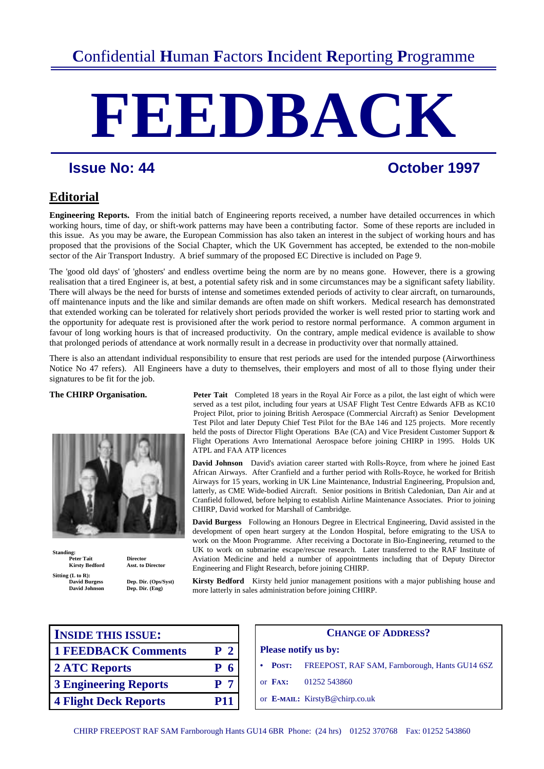# **FEEDBACK**

# **Issue No: 44 Constant Constant Constant Constant Constant Constant Constant Constant Constant Constant Constant Constant Constant Constant Constant Constant Constant Constant Constant Constant Constant Constant Constant**

# **Editorial**

**Engineering Reports.** From the initial batch of Engineering reports received, a number have detailed occurrences in which working hours, time of day, or shift-work patterns may have been a contributing factor. Some of these reports are included in this issue. As you may be aware, the European Commission has also taken an interest in the subject of working hours and has proposed that the provisions of the Social Chapter, which the UK Government has accepted, be extended to the non-mobile sector of the Air Transport Industry. A brief summary of the proposed EC Directive is included on Page 9.

The 'good old days' of 'ghosters' and endless overtime being the norm are by no means gone. However, there is a growing realisation that a tired Engineer is, at best, a potential safety risk and in some circumstances may be a significant safety liability. There will always be the need for bursts of intense and sometimes extended periods of activity to clear aircraft, on turnarounds, off maintenance inputs and the like and similar demands are often made on shift workers. Medical research has demonstrated that extended working can be tolerated for relatively short periods provided the worker is well rested prior to starting work and the opportunity for adequate rest is provisioned after the work period to restore normal performance. A common argument in favour of long working hours is that of increased productivity. On the contrary, ample medical evidence is available to show that prolonged periods of attendance at work normally result in a decrease in productivity over that normally attained.

There is also an attendant individual responsibility to ensure that rest periods are used for the intended purpose (Airworthiness Notice No 47 refers). All Engineers have a duty to themselves, their employers and most of all to those flying under their signatures to be fit for the job.



**Standing:**  Peter Tait **Director**<br> **Kirsty Redford** Asst. to Director **Kirsty Bedford Sitting (L to R):** 

**David Burgess Dep. Dir. (Ops/Syst)** Dep. Dir. (Eng)

**The CHIRP Organisation. Peter Tait** Completed 18 years in the Royal Air Force as a pilot, the last eight of which were served as a test pilot, including four years at USAF Flight Test Centre Edwards AFB as KC10 Project Pilot, prior to joining British Aerospace (Commercial Aircraft) as SeniorDevelopment Test Pilot and later Deputy Chief Test Pilot for the BAe 146 and 125 projects. More recently held the posts of Director Flight Operations BAe (CA) and Vice President Customer Support & Flight Operations Avro International Aerospace before joining CHIRP in 1995. Holds UK ATPL and FAA ATP licences

> **David Johnson** David's aviation career started with Rolls-Royce, from where he joined East African Airways. After Cranfield and a further period with Rolls-Royce, he worked for British Airways for 15 years, working in UK Line Maintenance, Industrial Engineering, Propulsion and, latterly, as CME Wide-bodied Aircraft. Senior positions in British Caledonian, Dan Air and at Cranfield followed, before helping to establish Airline Maintenance Associates. Prior to joining CHIRP, David worked for Marshall of Cambridge.

> **David Burgess** Following an Honours Degree in Electrical Engineering, David assisted in the development of open heart surgery at the London Hospital, before emigrating to the USA to work on the Moon Programme. After receiving a Doctorate in Bio-Engineering, returned to the UK to work on submarine escape/rescue research. Later transferred to the RAF Institute of Aviation Medicine and held a number of appointments including that of Deputy Director Engineering and Flight Research, before joining CHIRP.

**Kirsty Bedford** Kirsty held junior management positions with a major publishing house and more latterly in sales administration before joining CHIRP.

| <b>INSIDE THIS ISSUE:</b>    |                |                    | <b>CHANGE OI</b>               |
|------------------------------|----------------|--------------------|--------------------------------|
| <b>1 FEEDBACK Comments</b>   | P <sub>2</sub> |                    | <b>Please notify us by:</b>    |
| 2 ATC Reports                | P <sub>6</sub> | <b>POST:</b>       | <b>FREEPOST, RAF SA</b>        |
| <b>3 Engineering Reports</b> | P <sub>7</sub> | or $\mathbf{FAY:}$ | 01252 543860                   |
| <b>4 Flight Deck Reports</b> | <b>P11</b>     |                    | or E-MAIL: KirstyB@chirp.co.uk |

| <b>INSIDE THIS ISSUE:</b>    |                |         | <b>CHANGE OF ADDRESS?</b>                      |
|------------------------------|----------------|---------|------------------------------------------------|
| <b>1 FEEDBACK Comments</b>   | P <sub>2</sub> |         | <b>Please notify us by:</b>                    |
| 2 ATC Reports                | <b>P</b> 6     | POST:   | FREEPOST, RAF SAM, Farnborough, Hants GU14 6SZ |
| <b>3 Engineering Reports</b> | P <sub>7</sub> | or FAX: | 01252 543860                                   |
| <b>4 Flight Deck Reports</b> | <b>P11</b>     |         | or E-MAIL: KirstyB@chirp.co.uk                 |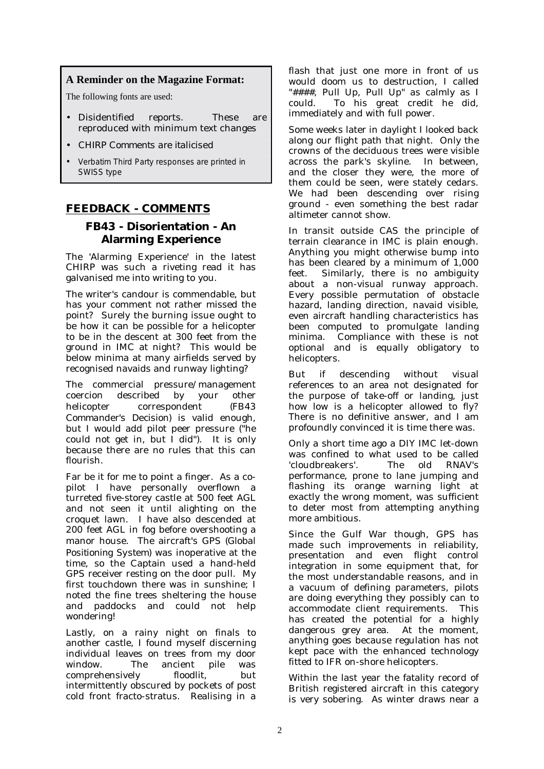# **A Reminder on the Magazine Format:**

The following fonts are used:

- Disidentified reports. These are reproduced with minimum text changes
- *CHIRP Comments are italicised*
- Verbatim Third Party responses are printed in SWISS type

# **FEEDBACK - COMMENTS**

# **FB43 - Disorientation - An Alarming Experience**

The 'Alarming Experience' in the latest CHIRP was such a riveting read it has galvanised me into writing to you.

The writer's candour is commendable, but has your comment not rather missed the point? Surely the burning issue ought to be how it can be possible for a helicopter to be in the descent at 300 feet from the ground in IMC at night? This would be below minima at many airfields served by recognised navaids and runway lighting?

The commercial pressure/management coercion described by your other helicopter correspondent *(FB43 Commander's Decision)* is valid enough, but I would add pilot peer pressure ("he could not get in, but I did"). It is only because there are no rules that this can flourish.

Far be it for me to point a finger. As a copilot I have personally overflown a turreted five-storey castle at 500 feet AGL and not seen it until alighting on the croquet lawn. I have also descended at 200 feet AGL in fog before overshooting a manor house. The aircraft's GPS *(Global Positioning System)* was inoperative at the time, so the Captain used a hand-held GPS receiver resting on the door pull. My first touchdown there was in sunshine; I noted the fine trees sheltering the house and paddocks and could not help wondering!

Lastly, on a rainy night on finals to another castle, I found myself discerning individual leaves on trees from my door window. The ancient pile was comprehensively floodlit, but intermittently obscured by pockets of post cold front fracto-stratus. Realising in a

flash that just one more in front of us would doom us to destruction, I called "####, Pull Up, Pull Up" as calmly as I could. To his great credit he did, immediately and with full power.

Some weeks later in daylight I looked back along our flight path that night. Only the crowns of the deciduous trees were visible across the park's skyline. In between, and the closer they were, the more of them could be seen, were stately cedars. We had been descending over rising ground - even something the best radar altimeter cannot show.

In transit outside CAS the principle of terrain clearance in IMC is plain enough. Anything you might otherwise bump into has been cleared by a minimum of 1,000 feet. Similarly, there is no ambiguity about a non-visual runway approach. Every possible permutation of obstacle hazard, landing direction, navaid visible, even aircraft handling characteristics has been computed to promulgate landing minima. Compliance with these is not optional and is equally obligatory to helicopters.

But if descending without visual references to an area not designated for the purpose of take-off or landing, just how low is a helicopter allowed to fly? There is no definitive answer, and I am profoundly convinced it is time there was.

Only a short time ago a DIY IMC let-down was confined to what used to be called 'cloudbreakers'. The old RNAV's performance, prone to lane jumping and flashing its orange warning light at exactly the wrong moment, was sufficient to deter most from attempting anything more ambitious.

Since the Gulf War though, GPS has made such improvements in reliability, presentation and even flight control integration in some equipment that, for the most understandable reasons, and in a vacuum of defining parameters, pilots are doing everything they possibly can to accommodate client requirements. This has created the potential for a highly dangerous grey area. At the moment, anything goes because regulation has not kept pace with the enhanced technology fitted to IFR on-shore helicopters.

Within the last year the fatality record of British registered aircraft in this category is very sobering. As winter draws near a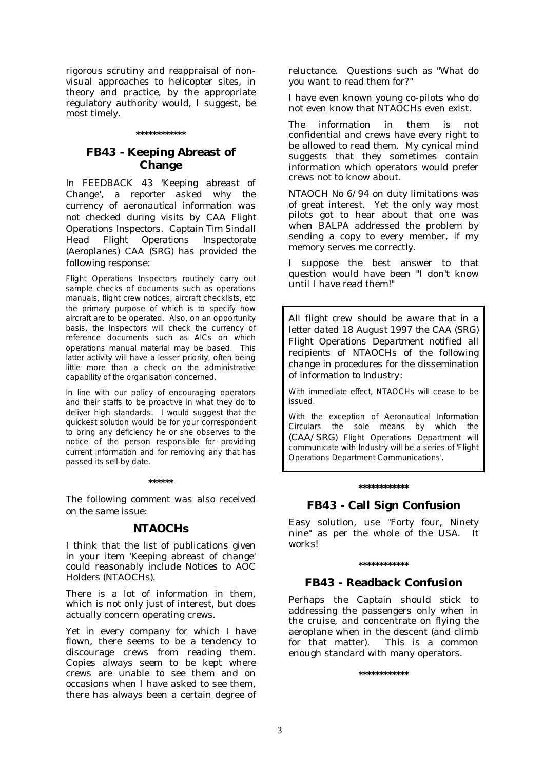rigorous scrutiny and reappraisal of nonvisual approaches to helicopter sites, in theory and practice, by the appropriate regulatory authority would, I suggest, be most timely.

#### **\*\*\*\*\*\*\*\*\*\*\*\***

# **FB43 - Keeping Abreast of Change**

*In FEEDBACK 43 'Keeping abreast of Change', a reporter asked why the currency of aeronautical information was not checked during visits by CAA Flight Operations Inspectors. Captain Tim Sindall Head Flight Operations Inspectorate (Aeroplanes) CAA (SRG) has provided the following response:* 

Flight Operations Inspectors routinely carry out sample checks of documents such as operations manuals, flight crew notices, aircraft checklists, etc the primary purpose of which is to specify how aircraft are to be operated. Also, on an opportunity basis, the Inspectors will check the currency of reference documents such as AICs on which operations manual material may be based. This latter activity will have a lesser priority, often being little more than a check on the administrative capability of the organisation concerned.

In line with our policy of encouraging operators and their staffs to be proactive in what they do to deliver high standards. I would suggest that the quickest solution would be for your correspondent to bring any deficiency he or she observes to the notice of the person responsible for providing current information and for removing any that has passed its sell-by date.

#### **\*\*\*\*\*\***

*The following comment was also received on the same issue:* 

### **NTAOCHs**

I think that the list of publications given in your item 'Keeping abreast of change' could reasonably include Notices to AOC Holders (NTAOCH<sub>s</sub>).

There is a lot of information in them, which is not only just of interest, but does actually concern operating crews.

Yet in every company for which I have flown, there seems to be a tendency to discourage crews from reading them. Copies always seem to be kept where crews are unable to see them and on occasions when I have asked to see them, there has always been a certain degree of reluctance. Questions such as "What do you want to read them for?"

I have even known young co-pilots who do not even know that NTAOCHs even exist.

The information in them is not confidential and crews have every right to be allowed to read them. My cynical mind suggests that they sometimes contain information which operators would prefer crews not to know about.

NTAOCH No 6/94 on duty limitations was of great interest. Yet the only way most pilots got to hear about that one was when BALPA addressed the problem by sending a copy to every member, if my memory serves me correctly.

I suppose the best answer to that question would have been "I don't know until I have read them!"

*All flight crew should be aware that in a letter dated 18 August 1997 the CAA (SRG) Flight Operations Department notified all recipients of NTAOCHs of the following change in procedures for the dissemination of information to Industry:* 

With immediate effect, NTAOCHs will cease to be issued.

With the exception of Aeronautical Information Circulars the sole means by which the *(CAA/SRG*) Flight Operations Department will communicate with Industry will be a series of 'Flight Operations Department Communications'.

#### **\*\*\*\*\*\*\*\*\*\*\*\***

# **FB43 - Call Sign Confusion**

Easy solution, use "Forty four, Ninety nine" as per the whole of the USA. It works!

# **FB43 - Readback Confusion**

**\*\*\*\*\*\*\*\*\*\*\*\*** 

Perhaps the Captain should stick to addressing the passengers only when in the cruise, and concentrate on flying the aeroplane when in the descent (and climb for that matter). This is a common enough standard with many operators.

**\*\*\*\*\*\*\*\*\*\*\*\***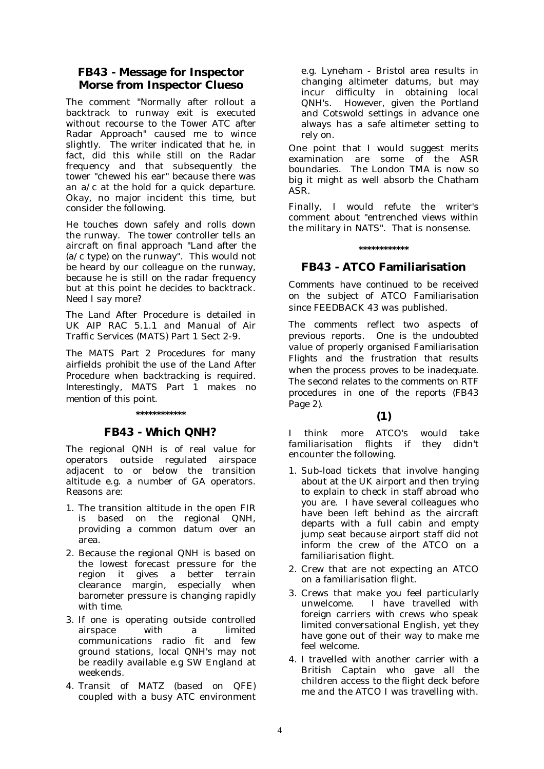# **FB43 - Message for Inspector Morse from Inspector Clueso**

The comment "Normally after rollout a backtrack to runway exit is executed without recourse to the Tower ATC after Radar Approach" caused me to wince slightly. The writer indicated that he, in fact, did this while still on the Radar frequency and that subsequently the tower "chewed his ear" because there was an a/c at the hold for a quick departure. Okay, no major incident this time, but consider the following.

He touches down safely and rolls down the runway. The tower controller tells an aircraft on final approach "Land after the (a/c type) on the runway". This would not be heard by our colleague on the runway, because he is still on the radar frequency but at this point he decides to backtrack. Need I say more?

The Land After Procedure is detailed in UK AIP RAC 5.1.1 and Manual of Air Traffic Services (MATS) Part 1 Sect 2-9.

*The MATS Part 2 Procedures for many airfields prohibit the use of the Land After Procedure when backtracking is required. Interestingly, MATS Part 1 makes no mention of this point.* 

#### **\*\*\*\*\*\*\*\*\*\*\*\***

# **FB43 - Which QNH?**

The regional QNH is of real value for operators outside regulated airspace adjacent to or below the transition altitude e.g. a number of GA operators. Reasons are:

- 1. The transition altitude in the open FIR is based on the regional QNH, providing a common datum over an area.
- 2. Because the regional QNH is based on the lowest forecast pressure for the region it gives a better terrain clearance margin, especially when barometer pressure is changing rapidly with time.
- 3. If one is operating outside controlled airspace with a limited communications radio fit and few ground stations, local QNH's may not be readily available e.g SW England at weekends.
- 4. Transit of MATZ (based on QFE) coupled with a busy ATC environment

e.g. Lyneham - Bristol area results in changing altimeter datums, but may incur difficulty in obtaining local QNH's. However, given the Portland and Cotswold settings in advance one always has a safe altimeter setting to rely on.

One point that I would suggest merits examination are some of the ASR boundaries. The London TMA is now so big it might as well absorb the Chatham ASR.

Finally, I would refute the writer's comment about "entrenched views within the military in NATS". That is nonsense.

#### **\*\*\*\*\*\*\*\*\*\*\*\***

# **FB43 - ATCO Familiarisation**

*Comments have continued to be received on the subject of ATCO Familiarisation since FEEDBACK 43 was published.* 

*The comments reflect two aspects of previous reports. One is the undoubted value of properly organised Familiarisation Flights and the frustration that results when the process proves to be inadequate. The second relates to the comments on RTF procedures in one of the reports (FB43 Page 2).* 

#### **(1)**

I think more ATCO's would take familiarisation flights if they didn't encounter the following.

- 1. Sub-load tickets that involve hanging about at the UK airport and then trying to explain to check in staff abroad who you are. I have several colleagues who have been left behind as the aircraft departs with a full cabin and empty jump seat because airport staff did not inform the crew of the ATCO on a familiarisation flight.
- 2. Crew that are not expecting an ATCO on a familiarisation flight.
- 3. Crews that make you feel particularly unwelcome. I have travelled with foreign carriers with crews who speak limited conversational English, yet they have gone out of their way to make me feel welcome.
- 4. I travelled with another carrier with a British Captain who gave all the children access to the flight deck before me and the ATCO I was travelling with.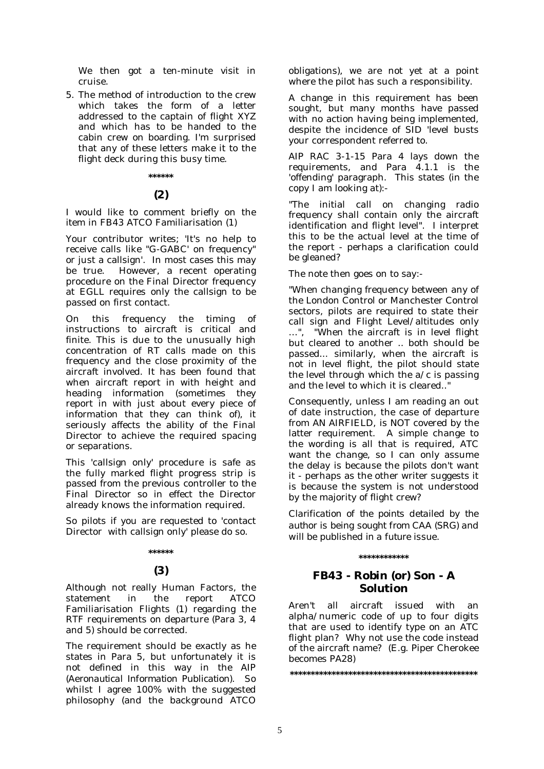We then got a ten-minute visit in cruise.

5. The method of introduction to the crew which takes the form of a letter addressed to the captain of flight XYZ and which has to be handed to the cabin crew on boarding. I'm surprised that any of these letters make it to the flight deck during this busy time.

#### **\*\*\*\*\*\***

## **(2)**

I would like to comment briefly on the item in FB43 ATCO Familiarisation (1)

Your contributor writes; 'It's no help to receive calls like "G-GABC' on frequency" or just a callsign'. In most cases this may be true. However, a recent operating procedure on the Final Director frequency at EGLL requires only the callsign to be passed on first contact.

On this frequency the timing of instructions to aircraft is critical and finite. This is due to the unusually high concentration of RT calls made on this frequency and the close proximity of the aircraft involved. It has been found that when aircraft report in with height and heading information (sometimes they report in with just about every piece of information that they can think of), it seriously affects the ability of the Final Director to achieve the required spacing or separations.

This 'callsign only' procedure is safe as the fully marked flight progress strip is passed from the previous controller to the Final Director so in effect the Director already knows the information required.

So pilots if you are requested to 'contact Director with callsign only' please do so.

# **\*\*\*\*\*\***

# **(3)**

Although not really Human Factors, the statement in the report ATCO Familiarisation Flights (1) regarding the RTF requirements on departure (Para 3, 4 and 5) should be corrected.

The requirement should be exactly as he states in Para 5, but unfortunately it is not defined in this way in the AIP *(Aeronautical Information Publication)*. So whilst I agree 100% with the suggested philosophy (and the background ATCO obligations), we are not yet at a point where the pilot has such a responsibility.

A change in this requirement has been sought, but many months have passed with no action having being implemented, despite the incidence of SID 'level busts your correspondent referred to.

AIP RAC 3-1-15 Para 4 lays down the requirements, and Para 4.1.1 is the 'offending' paragraph. This states (in the copy I am looking at):-

"The initial call on changing radio frequency shall contain only the aircraft identification and flight level". I interpret this to be the actual level at the time of the report - perhaps a clarification could be gleaned?

The note then goes on to say:-

"When changing frequency between any of the London Control or Manchester Control sectors, pilots are required to state their call sign and Flight Level/altitudes only …", "When the aircraft is in level flight but cleared to another .. both should be passed... similarly, when the aircraft is not in level flight, the pilot should state the level through which the  $a/c$  is passing and the level to which it is cleared.."

Consequently, unless I am reading an out of date instruction, the case of departure from AN AIRFIELD, is NOT covered by the latter requirement. A simple change to the wording is all that is required, ATC want the change, so I can only assume the delay is because the pilots don't want it - perhaps as the other writer suggests it is because the system is not understood by the majority of flight crew?

*Clarification of the points detailed by the author is being sought from CAA (SRG) and will be published in a future issue.* 

#### **\*\*\*\*\*\*\*\*\*\*\*\***

# **FB43 - Robin (or) Son - A Solution**

Aren't all aircraft issued with an alpha/numeric code of up to four digits that are used to identify type on an ATC flight plan? Why not use the code instead of the aircraft name? (E.g. Piper Cherokee becomes PA28)

**\*\*\*\*\*\*\*\*\*\*\*\*\*\*\*\*\*\*\*\*\*\*\*\*\*\*\*\*\*\*\*\*\*\*\*\*\*\*\*\*\*\*\*\*\***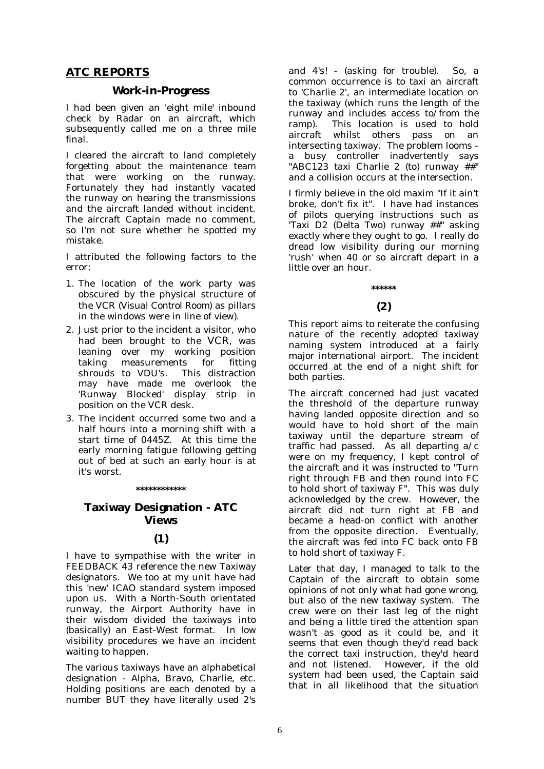# **ATC REPORTS**

### **Work-in-Progress**

I had been given an 'eight mile' inbound check by Radar on an aircraft, which subsequently called me on a three mile final.

I cleared the aircraft to land completely forgetting about the maintenance team that were working on the runway. Fortunately they had instantly vacated the runway on hearing the transmissions and the aircraft landed without incident. The aircraft Captain made no comment, so I'm not sure whether he spotted my mistake.

I attributed the following factors to the error:

- 1. The location of the work party was obscured by the physical structure of the VCR *(Visual Control Room*) as pillars in the windows were in line of view).
- 2. Just prior to the incident a visitor, who had been brought to the VCR, was leaning over my working position taking measurements for fitting shrouds to VDU's. This distraction may have made me overlook the 'Runway Blocked' display strip in position on the VCR desk.
- 3. The incident occurred some two and a half hours into a morning shift with a start time of 0445Z. At this time the early morning fatigue following getting out of bed at such an early hour is at it's worst.

#### **\*\*\*\*\*\*\*\*\*\*\*\***

# **Taxiway Designation - ATC Views**

#### **(1)**

I have to sympathise with the writer in FEEDBACK 43 reference the new Taxiway designators. We too at my unit have had this 'new' ICAO standard system imposed upon us. With a North-South orientated runway, the Airport Authority have in their wisdom divided the taxiways into (basically) an East-West format. In low visibility procedures we have an incident waiting to happen.

The various taxiways have an alphabetical designation - Alpha, Bravo, Charlie, etc. Holding positions are each denoted by a number BUT they have literally used 2's and 4's! - (asking for trouble). So, a common occurrence is to taxi an aircraft to 'Charlie 2', an intermediate location on the taxiway (which runs the length of the runway and includes access to/from the ramp). This location is used to hold aircraft whilst others pass on an intersecting taxiway. The problem looms a busy controller inadvertently says "ABC123 taxi Charlie 2 (to) runway  $\ddot{\#}$ " and a collision occurs at the intersection.

I firmly believe in the old maxim "If it ain't broke, don't fix it". I have had instances of pilots querying instructions such as 'Taxi D2 (Delta Two) runway ##" asking exactly where they ought to go. I really do dread low visibility during our morning 'rush' when 40 or so aircraft depart in a little over an hour.

# **\*\*\*\*\*\* (2)**

This report aims to reiterate the confusing nature of the recently adopted taxiway naming system introduced at a fairly major international airport. The incident occurred at the end of a night shift for both parties.

The aircraft concerned had just vacated the threshold of the departure runway having landed opposite direction and so would have to hold short of the main taxiway until the departure stream of traffic had passed. As all departing a/c were on my frequency, I kept control of the aircraft and it was instructed to "Turn right through FB and then round into FC to hold short of taxiway F". This was duly acknowledged by the crew. However, the aircraft did not turn right at FB and became a head-on conflict with another from the opposite direction. Eventually, the aircraft was fed into FC back onto FB to hold short of taxiway F.

Later that day, I managed to talk to the Captain of the aircraft to obtain some opinions of not only what had gone wrong, but also of the new taxiway system. The crew were on their last leg of the night and being a little tired the attention span wasn't as good as it could be, and it seems that even though they'd read back the correct taxi instruction, they'd heard<br>and not listened. However, if the old However, if the old system had been used, the Captain said that in all likelihood that the situation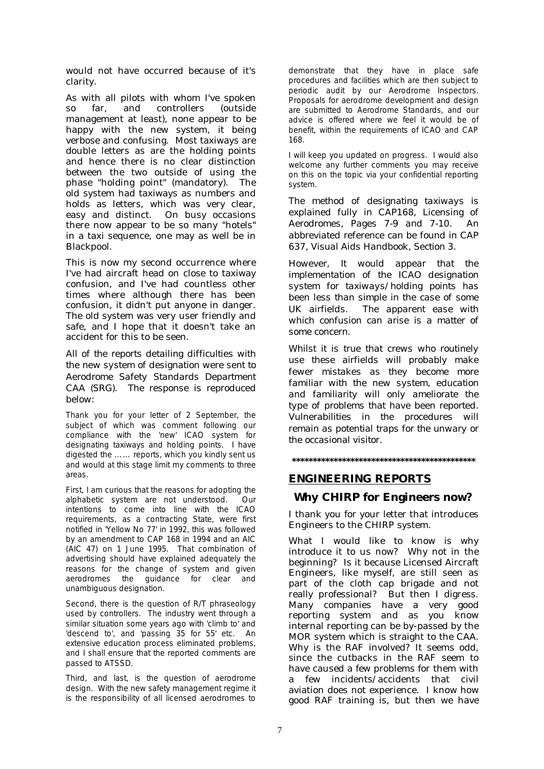would not have occurred because of it's clarity.

As with all pilots with whom I've spoken<br>so far, and controllers (outside so far, and controllers management at least), none appear to be happy with the new system, it being verbose and confusing. Most taxiways are double letters as are the holding points and hence there is no clear distinction between the two outside of using the phase "holding point" (mandatory). The old system had taxiways as numbers and holds as letters, which was very clear, easy and distinct. On busy occasions there now appear to be so many "hotels" in a taxi sequence, one may as well be in Blackpool.

This is now my second occurrence where I've had aircraft head on close to taxiway confusion, and I've had countless other times where although there has been confusion, it didn't put anyone in danger. The old system was very user friendly and safe, and I hope that it doesn't take an accident for this to be seen.

*All of the reports detailing difficulties with the new system of designation were sent to Aerodrome Safety Standards Department CAA (SRG). The response is reproduced below:* 

Thank you for your letter of 2 September, the subject of which was comment following our compliance with the 'new' ICAO system for designating taxiways and holding points. I have digested the …… reports, which you kindly sent us and would at this stage limit my comments to three areas.

First, I am curious that the reasons for adopting the alphabetic system are not understood. Our intentions to come into line with the ICAO requirements, as a contracting State, were first notified in 'Yellow No 77' in 1992, this was followed by an amendment to CAP 168 in 1994 and an AIC (AIC 47) on 1 June 1995. That combination of advertising should have explained adequately the reasons for the change of system and given aerodromes the guidance for clear and unambiguous designation.

Second, there is the question of R/T phraseology used by controllers. The industry went through a similar situation some years ago with 'climb to' and 'descend to', and 'passing 35 for 55' etc. An extensive education process eliminated problems, and I shall ensure that the reported comments are passed to ATSSD.

Third, and last, is the question of aerodrome design. With the new safety management regime it is the responsibility of all licensed aerodromes to

demonstrate that they have in place safe procedures and facilities which are then subject to periodic audit by our Aerodrome Inspectors. Proposals for aerodrome development and design are submitted to Aerodrome Standards, and our advice is offered where we feel it would be of benefit, within the requirements of ICAO and CAP 168.

I will keep you updated on progress. I would also welcome any further comments you may receive on this on the topic via your confidential reporting system.

*The method of designating taxiways is explained fully in CAP168, Licensing of Aerodromes, Pages 7-9 and 7-10. An abbreviated reference can be found in CAP 637, Visual Aids Handbook, Section 3.* 

*However, It would appear that the implementation of the ICAO designation system for taxiways/holding points has been less than simple in the case of some UK airfields. The apparent ease with which confusion can arise is a matter of some concern.* 

*Whilst it is true that crews who routinely use these airfields will probably make fewer mistakes as they become more familiar with the new system, education and familiarity will only ameliorate the type of problems that have been reported. Vulnerabilities in the procedures will remain as potential traps for the unwary or the occasional visitor.* 

**\*\*\*\*\*\*\*\*\*\*\*\*\*\*\*\*\*\*\*\*\*\*\*\*\*\*\*\*\*\*\*\*\*\*\*\*\*\*\*\*\*\*\*\*** 

# **ENGINEERING REPORTS**

# **Why CHIRP for Engineers now?**

I thank you for your letter that introduces Engineers to the CHIRP system.

What I would like to know is why introduce it to us now? Why not in the beginning? Is it because Licensed Aircraft Engineers, like myself, are still seen as part of the cloth cap brigade and not really professional? But then I digress. Many companies have a very good reporting system and as you know internal reporting can be by-passed by the MOR system which is straight to the CAA. Why is the RAF involved? It seems odd, since the cutbacks in the RAF seem to have caused a few problems for them with a few incidents/accidents that civil aviation does not experience. I know how good RAF training is, but then we have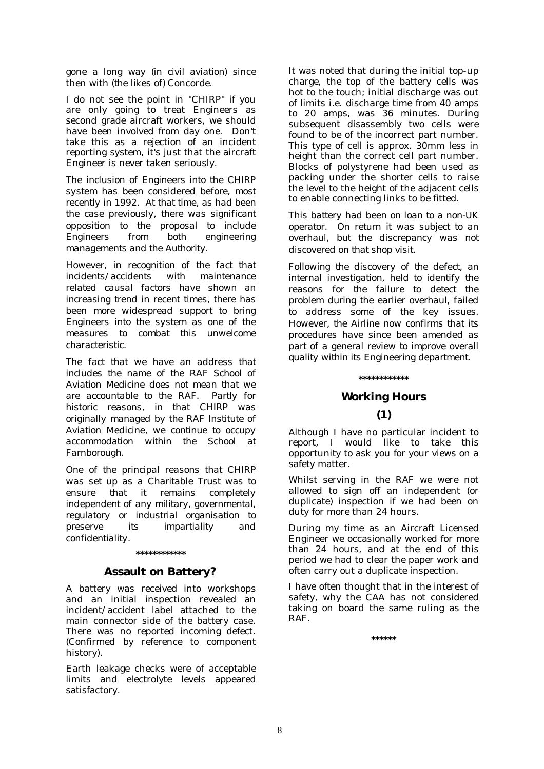gone a long way *(in civil aviation*) since then with (*the likes of)* Concorde.

I do not see the point in "CHIRP" if you are only going to treat Engineers as second grade aircraft workers, we should have been involved from day one. Don't take this as a rejection of an incident reporting system, it's just that the aircraft Engineer is never taken seriously.

*The inclusion of Engineers into the CHIRP system has been considered before, most recently in 1992. At that time, as had been the case previously, there was significant opposition to the proposal to include Engineers from both engineering managements and the Authority.* 

*However, in recognition of the fact that incidents/accidents with maintenance related causal factors have shown an increasing trend in recent times, there has been more widespread support to bring Engineers into the system as one of the measures to combat this unwelcome characteristic.* 

*The fact that we have an address that includes the name of the RAF School of Aviation Medicine does not mean that we are accountable to the RAF. Partly for historic reasons, in that CHIRP was originally managed by the RAF Institute of Aviation Medicine, we continue to occupy accommodation within the School at Farnborough.* 

*One of the principal reasons that CHIRP was set up as a Charitable Trust was to ensure that it remains completely independent of any military, governmental, regulatory or industrial organisation to preserve its impartiality and confidentiality.* 

#### **\*\*\*\*\*\*\*\*\*\*\*\***

# **Assault on Battery?**

A battery was received into workshops and an initial inspection revealed an incident/accident label attached to the main connector side of the battery case. There was no reported incoming defect. (Confirmed by reference to component history).

Earth leakage checks were of acceptable limits and electrolyte levels appeared satisfactory.

It was noted that during the initial top-up charge, the top of the battery cells was hot to the touch; initial discharge was out of limits i.e. discharge time from 40 amps to 20 amps, was 36 minutes. During subsequent disassembly two cells were found to be of the incorrect part number. This type of cell is approx. 30mm less in height than the correct cell part number. Blocks of polystyrene had been used as packing under the shorter cells to raise the level to the height of the adjacent cells to enable connecting links to be fitted.

*This battery had been on loan to a non-UK operator. On return it was subject to an overhaul, but the discrepancy was not discovered on that shop visit.* 

*Following the discovery of the defect, an internal investigation, held to identify the reasons for the failure to detect the problem during the earlier overhaul, failed to address some of the key issues. However, the Airline now confirms that its procedures have since been amended as part of a general review to improve overall quality within its Engineering department.* 

#### **\*\*\*\*\*\*\*\*\*\*\*\***

# **Working Hours**

# **(1)**

Although I have no particular incident to report, I would like to take this opportunity to ask you for your views on a safety matter.

Whilst serving in the RAF we were not allowed to sign off an independent (or duplicate) inspection if we had been on duty for more than 24 hours.

During my time as an Aircraft Licensed Engineer we occasionally worked for more than 24 hours, and at the end of this period we had to clear the paper work and often carry out a duplicate inspection.

I have often thought that in the interest of safety, why the CAA has not considered taking on board the same ruling as the RAF.

**\*\*\*\*\*\***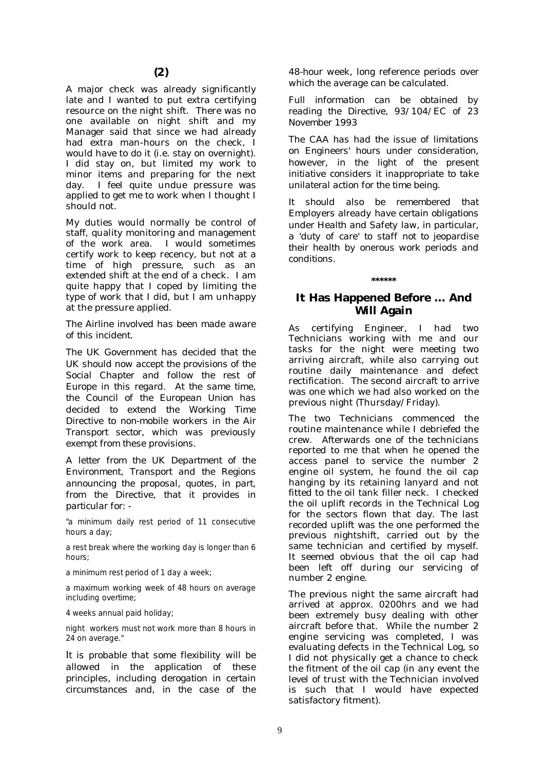A major check was already significantly late and I wanted to put extra certifying resource on the night shift. There was no one available on night shift and my Manager said that since we had already had extra man-hours on the check, I would have to do it (i.e. stay on overnight). I did stay on, but limited my work to minor items and preparing for the next day. I feel quite undue pressure was applied to get me to work when I thought I should not.

My duties would normally be control of staff, quality monitoring and management of the work area. I would sometimes certify work to keep recency, but not at a time of high pressure, such as an extended shift at the end of a check. I am quite happy that I coped by limiting the type of work that I did, but I am unhappy at the pressure applied.

*The Airline involved has been made aware of this incident.* 

*The UK Government has decided that the UK should now accept the provisions of the Social Chapter and follow the rest of Europe in this regard. At the same time, the Council of the European Union has decided to extend the Working Time Directive to non-mobile workers in the Air Transport sector, which was previously exempt from these provisions.* 

*A letter from the UK Department of the Environment, Transport and the Regions announcing the proposal, quotes, in part, from the Directive, that it provides in particular for: -* 

"a minimum daily rest period of 11 consecutive hours a day;

a rest break where the working day is longer than 6 hours;

a minimum rest period of 1 day a week;

a maximum working week of 48 hours on average including overtime;

4 weeks annual paid holiday;

night workers must not work more than 8 hours in 24 on average."

*It is probable that some flexibility will be allowed in the application of these principles, including derogation in certain circumstances and, in the case of the* 

*48-hour week, long reference periods over which the average can be calculated.* 

*Full information can be obtained by reading the Directive, 93/104/EC of 23 November 1993* 

*The CAA has had the issue of limitations on Engineers' hours under consideration, however, in the light of the present initiative considers it inappropriate to take unilateral action for the time being.* 

*It should also be remembered that Employers already have certain obligations under Health and Safety law, in particular, a 'duty of care' to staff not to jeopardise their health by onerous work periods and conditions.* 

# **It Has Happened Before … And Will Again**

**\*\*\*\*\*\*** 

As certifying Engineer, I had two Technicians working with me and our tasks for the night were meeting two arriving aircraft, while also carrying out routine daily maintenance and defect rectification. The second aircraft to arrive was one which we had also worked on the previous night (Thursday/Friday).

The two Technicians commenced the routine maintenance while I debriefed the crew. Afterwards one of the technicians reported to me that when he opened the access panel to service the number 2 engine oil system, he found the oil cap hanging by its retaining lanyard and not fitted to the oil tank filler neck. I checked the oil uplift records in the Technical Log for the sectors flown that day. The last recorded uplift was the one performed the previous nightshift, carried out by the same technician and certified by myself. It seemed obvious that the oil cap had been left off during our servicing of number 2 engine.

The previous night the same aircraft had arrived at approx. 0200hrs and we had been extremely busy dealing with other aircraft before that. While the number 2 engine servicing was completed, I was evaluating defects in the Technical Log, so I did not physically get a chance to check the fitment of the oil cap (in any event the level of trust with the Technician involved is such that I would have expected satisfactory fitment).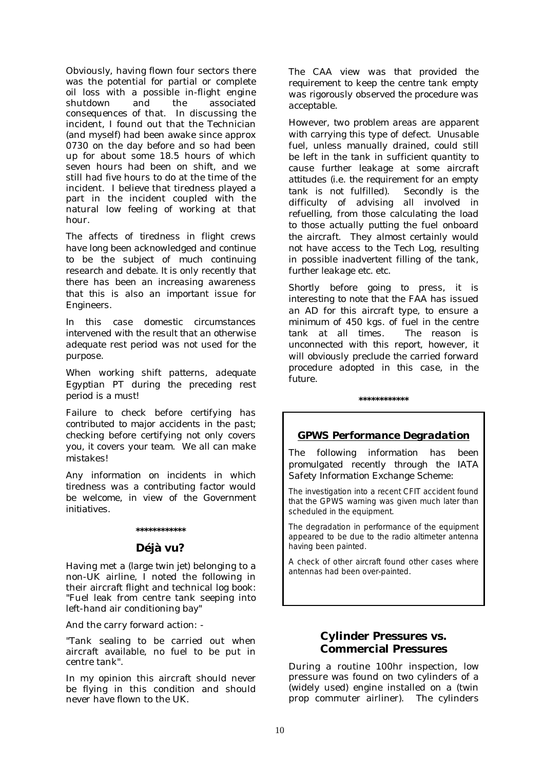Obviously, having flown four sectors there was the potential for partial or complete oil loss with a possible in-flight engine shutdown and the associated consequences of that. In discussing the incident, I found out that the Technician (and myself) had been awake since approx 0730 on the day before and so had been up for about some 18.5 hours of which seven hours had been on shift, and we still had five hours to do at the time of the incident. I believe that tiredness played a part in the incident coupled with the natural low feeling of working at that hour.

*The affects of tiredness in flight crews have long been acknowledged and continue to be the subject of much continuing research and debate. It is only recently that there has been an increasing awareness that this is also an important issue for Engineers.* 

*In this case domestic circumstances intervened with the result that an otherwise adequate rest period was not used for the purpose.* 

*When working shift patterns, adequate Egyptian PT during the preceding rest period is a must!* 

*Failure to check before certifying has contributed to major accidents in the past; checking before certifying not only covers you, it covers your team. We all can make mistakes!* 

*Any information on incidents in which tiredness was a contributing factor would be welcome, in view of the Government initiatives.* 

# **\*\*\*\*\*\*\*\*\*\*\*\***

# **Déjà vu?**

Having met a (*large twin jet*) belonging to a non-UK airline, I noted the following in their aircraft flight and technical log book: "Fuel leak from centre tank seeping into left-hand air conditioning bay"

And the carry forward action: -

"Tank sealing to be carried out when aircraft available, no fuel to be put in centre tank".

In my opinion this aircraft should never be flying in this condition and should never have flown to the UK.

*The CAA view was that provided the requirement to keep the centre tank empty was rigorously observed the procedure was acceptable.* 

*However, two problem areas are apparent with carrying this type of defect. Unusable fuel, unless manually drained, could still be left in the tank in sufficient quantity to cause further leakage at some aircraft attitudes (i.e. the requirement for an empty tank is not fulfilled). Secondly is the difficulty of advising all involved in refuelling, from those calculating the load to those actually putting the fuel onboard the aircraft. They almost certainly would not have access to the Tech Log, resulting in possible inadvertent filling of the tank, further leakage etc. etc.* 

*Shortly before going to press, it is interesting to note that the FAA has issued an AD for this aircraft type, to ensure a minimum of 450 kgs. of fuel in the centre tank at all times. The reason is unconnected with this report, however, it will obviously preclude the carried forward procedure adopted in this case, in the future.* 

#### **\*\*\*\*\*\*\*\*\*\*\*\***

# *GPWS Performance Degradation*

*The following information has been promulgated recently through the IATA Safety Information Exchange Scheme:* 

The investigation into a recent CFIT accident found that the GPWS warning was given much later than scheduled in the equipment.

The degradation in performance of the equipment appeared to be due to the radio altimeter antenna having been painted.

A check of other aircraft found other cases where antennas had been over-painted.

# **Cylinder Pressures vs. Commercial Pressures**

During a routine 100hr inspection, low pressure was found on two cylinders of a (widely used) engine installed on a (twin prop commuter airliner). The cylinders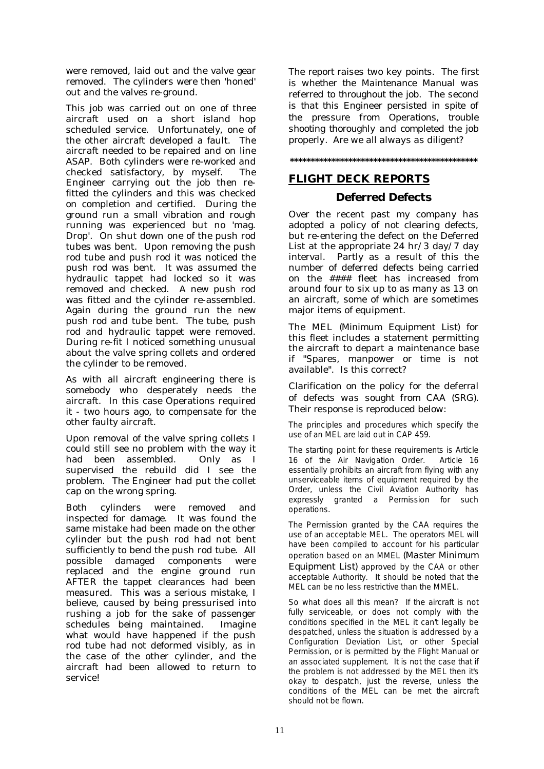were removed, laid out and the valve gear removed. The cylinders were then 'honed' out and the valves re-ground.

This job was carried out on one of three aircraft used on a short island hop scheduled service. Unfortunately, one of the other aircraft developed a fault. The aircraft needed to be repaired and on line ASAP. Both cylinders were re-worked and checked satisfactory, by myself. The Engineer carrying out the job then refitted the cylinders and this was checked on completion and certified. During the ground run a small vibration and rough running was experienced but no 'mag. Drop'. On shut down one of the push rod tubes was bent. Upon removing the push rod tube and push rod it was noticed the push rod was bent. It was assumed the hydraulic tappet had locked so it was removed and checked. A new push rod was fitted and the cylinder re-assembled. Again during the ground run the new push rod and tube bent. The tube, push rod and hydraulic tappet were removed. During re-fit I noticed something unusual about the valve spring collets and ordered the cylinder to be removed.

As with all aircraft engineering there is somebody who desperately needs the aircraft. In this case Operations required it - two hours ago, to compensate for the other faulty aircraft.

Upon removal of the valve spring collets I could still see no problem with the way it had been assembled. Only as I supervised the rebuild did I see the problem. The Engineer had put the collet cap on the wrong spring.

Both cylinders were removed and inspected for damage. It was found the same mistake had been made on the other cylinder but the push rod had not bent sufficiently to bend the push rod tube. All possible damaged components were replaced and the engine ground run AFTER the tappet clearances had been measured. This was a serious mistake, I believe, caused by being pressurised into rushing a job for the sake of passenger schedules being maintained. Imagine what would have happened if the push rod tube had not deformed visibly, as in the case of the other cylinder, and the aircraft had been allowed to return to service!

*The report raises two key points. The first is whether the Maintenance Manual was referred to throughout the job. The second is that this Engineer persisted in spite of the pressure from Operations, trouble shooting thoroughly and completed the job properly. Are we all always as diligent?* 

# **\*\*\*\*\*\*\*\*\*\*\*\*\*\*\*\*\*\*\*\*\*\*\*\*\*\*\*\*\*\*\*\*\*\*\*\*\*\*\*\*\*\*\*\*\***

# **FLIGHT DECK REPORTS**

# **Deferred Defects**

Over the recent past my company has adopted a policy of not clearing defects, but re-entering the defect on the Deferred List at the appropriate 24 hr/3 day/7 day interval. Partly as a result of this the number of deferred defects being carried on the #### fleet has increased from around four to six up to as many as 13 on an aircraft, some of which are sometimes major items of equipment.

The MEL *(Minimum Equipment List)* for this fleet includes a statement permitting the aircraft to depart a maintenance base if "Spares, manpower or time is not available". Is this correct?

*Clarification on the policy for the deferral of defects was sought from CAA (SRG). Their response is reproduced below:* 

The principles and procedures which specify the use of an MEL are laid out in CAP 459.

The starting point for these requirements is Article 16 of the Air Navigation Order. Article 16 essentially prohibits an aircraft from flying with any unserviceable items of equipment required by the Order, unless the Civil Aviation Authority has expressly granted a Permission for such operations.

The Permission granted by the CAA requires the use of an acceptable MEL. The operators MEL will have been compiled to account for his particular operation based on an MMEL *(Master Minimum Equipment List)* approved by the CAA or other acceptable Authority. It should be noted that the MEL can be no less restrictive than the MMEL.

So what does all this mean? If the aircraft is not fully serviceable, or does not comply with the conditions specified in the MEL it can't legally be despatched, unless the situation is addressed by a Configuration Deviation List, or other Special Permission, or is permitted by the Flight Manual or an associated supplement. It is not the case that if the problem is not addressed by the MEL then it's okay to despatch, just the reverse, unless the conditions of the MEL can be met the aircraft should not be flown.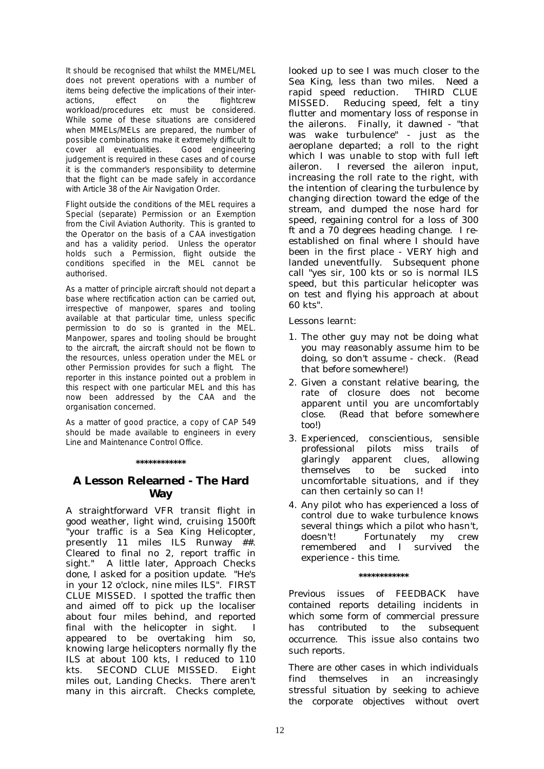It should be recognised that whilst the MMEL/MEL does not prevent operations with a number of items being defective the implications of their interactions, effect on the flightcrew workload/procedures etc must be considered. While some of these situations are considered when MMELs/MELs are prepared, the number of possible combinations make it extremely difficult to cover all eventualities. Good engineering judgement is required in these cases and of course it is the commander's responsibility to determine that the flight can be made safely in accordance with Article 38 of the Air Navigation Order.

Flight outside the conditions of the MEL requires a Special (separate) Permission or an Exemption from the Civil Aviation Authority. This is granted to the Operator on the basis of a CAA investigation and has a validity period. Unless the operator holds such a Permission, flight outside the conditions specified in the MEL cannot be authorised.

As a matter of principle aircraft should not depart a base where rectification action can be carried out, irrespective of manpower, spares and tooling available at that particular time, unless specific permission to do so is granted in the MEL. Manpower, spares and tooling should be brought to the aircraft, the aircraft should not be flown to the resources, unless operation under the MEL or other Permission provides for such a flight. The reporter in this instance pointed out a problem in this respect with one particular MEL and this has now been addressed by the CAA and the organisation concerned.

As a matter of good practice, a copy of CAP 549 should be made available to engineers in every Line and Maintenance Control Office.

#### **\*\*\*\*\*\*\*\*\*\*\*\***

# **A Lesson Relearned - The Hard Way**

A straightforward VFR transit flight in good weather, light wind, cruising 1500ft "your traffic is a Sea King Helicopter, presently 11 miles ILS Runway ##. Cleared to final no 2, report traffic in sight." A little later, Approach Checks done, I asked for a position update. "He's in your 12 o'clock, nine miles ILS". FIRST CLUE MISSED. I spotted the traffic then and aimed off to pick up the localiser about four miles behind, and reported final with the helicopter in sight. I appeared to be overtaking him so, knowing large helicopters normally fly the ILS at about 100 kts, I reduced to 110 kts. SECOND CLUE MISSED. Eight miles out, Landing Checks. There aren't many in this aircraft. Checks complete,

looked up to see I was much closer to the Sea King, less than two miles. Need a rapid speed reduction. THIRD CLUE MISSED. Reducing speed, felt a tiny flutter and momentary loss of response in the ailerons. Finally, it dawned - "that was wake turbulence" - just as the aeroplane departed; a roll to the right which I was unable to stop with full left aileron. I reversed the aileron input, increasing the roll rate to the right, with the intention of clearing the turbulence by changing direction toward the edge of the stream, and dumped the nose hard for speed, regaining control for a loss of 300 ft and a 70 degrees heading change. I reestablished on final where I should have been in the first place - VERY high and landed uneventfully. Subsequent phone call "yes sir, 100 kts or so is normal ILS speed, but this particular helicopter was on test and flying his approach at about 60 kts".

Lessons learnt:

- 1. The other guy may not be doing what you may reasonably assume him to be doing, so don't assume - check. (Read that before somewhere!)
- 2. Given a constant relative bearing, the rate of closure does not become apparent until you are uncomfortably close. (Read that before somewhere too!)
- 3. Experienced, conscientious, sensible professional pilots miss trails of glaringly apparent clues, allowing themselves to be sucked into uncomfortable situations, and if they can then certainly so can I!
- 4. Any pilot who has experienced a loss of control due to wake turbulence knows several things which a pilot who hasn't, doesn't! Fortunately my crew remembered and I survived the experience - this time.

#### **\*\*\*\*\*\*\*\*\*\*\*\***

*Previous issues of FEEDBACK have contained reports detailing incidents in which some form of commercial pressure has contributed to the subsequent occurrence. This issue also contains two such reports.* 

*There are other cases in which individuals find themselves in an increasingly stressful situation by seeking to achieve the corporate objectives without overt*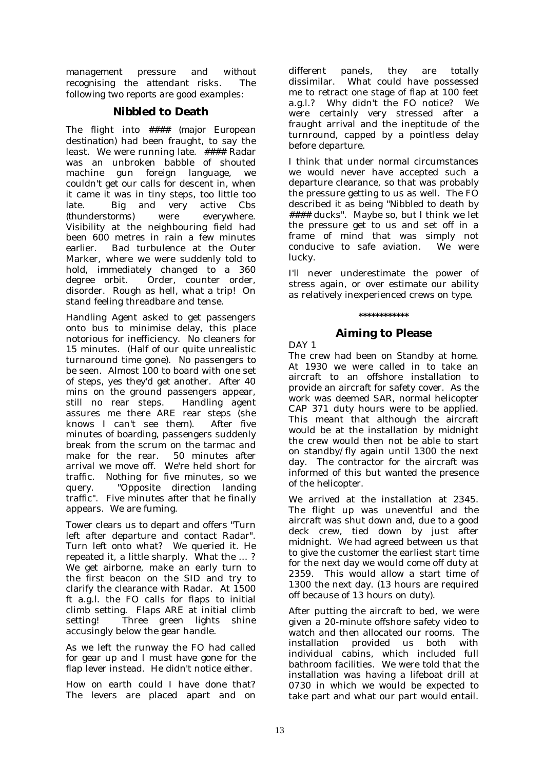*management pressure and without recognising the attendant risks. The following two reports are good examples:* 

# **Nibbled to Death**

The flight into #### *(major European destination)* had been fraught, to say the least. We were running late. #### Radar was an unbroken babble of shouted machine gun foreign language, we couldn't get our calls for descent in, when it came it was in tiny steps, too little too late. Big and very active Cbs *(thunderstorms)* were everywhere. Visibility at the neighbouring field had been 600 metres in rain a few minutes earlier. Bad turbulence at the Outer Marker, where we were suddenly told to hold, immediately changed to a 360 degree orbit. Order, counter order, disorder. Rough as hell, what a trip! On stand feeling threadbare and tense.

Handling Agent asked to get passengers onto bus to minimise delay, this place notorious for inefficiency. No cleaners for 15 minutes. (Half of our quite unrealistic turnaround time gone). No passengers to be seen. Almost 100 to board with one set of steps, yes they'd get another. After 40 mins on the ground passengers appear, still no rear steps. Handling agent assures me there ARE rear steps (she knows I can't see them). After five minutes of boarding, passengers suddenly break from the scrum on the tarmac and make for the rear. 50 minutes after arrival we move off. We're held short for traffic. Nothing for five minutes, so we query. "Opposite direction landing traffic". Five minutes after that he finally appears. We are fuming.

Tower clears us to depart and offers "Turn left after departure and contact Radar". Turn left onto what? We queried it. He repeated it, a little sharply. What the … ? We get airborne, make an early turn to the first beacon on the SID and try to clarify the clearance with Radar. At 1500 ft a.g.l. the FO calls for flaps to initial climb setting. Flaps ARE at initial climb setting! Three green lights shine accusingly below the gear handle.

As we left the runway the FO had called for gear up and I must have gone for the flap lever instead. He didn't notice either.

How on earth could I have done that? The levers are placed apart and on different panels, they are totally dissimilar. What could have possessed me to retract one stage of flap at 100 feet a.g.l.? Why didn't the FO notice? We were certainly very stressed after a fraught arrival and the ineptitude of the turnround, capped by a pointless delay before departure.

I think that under normal circumstances we would never have accepted such a departure clearance, so that was probably the pressure getting to us as well. The FO described it as being "Nibbled to death by #### ducks". Maybe so, but I think we let the pressure get to us and set off in a frame of mind that was simply not conducive to safe aviation. We were lucky.

I'll never underestimate the power of stress again, or over estimate our ability as relatively inexperienced crews on type.

### **\*\*\*\*\*\*\*\*\*\*\*\***

# **Aiming to Please**

DAY 1

The crew had been on Standby at home. At 1930 we were called in to take an aircraft to an offshore installation to provide an aircraft for safety cover. As the work was deemed SAR, normal helicopter CAP 371 duty hours were to be applied. This meant that although the aircraft would be at the installation by midnight the crew would then not be able to start on standby/fly again until 1300 the next day. The contractor for the aircraft was informed of this but wanted the presence of the helicopter.

We arrived at the installation at 2345. The flight up was uneventful and the aircraft was shut down and, due to a good deck crew, tied down by just after midnight. We had agreed between us that to give the customer the earliest start time for the next day we would come off duty at 2359. This would allow a start time of 1300 the next day. (13 hours are required off because of 13 hours on duty).

After putting the aircraft to bed, we were given a 20-minute offshore safety video to watch and then allocated our rooms. The installation provided us both with individual cabins, which included full bathroom facilities. We were told that the installation was having a lifeboat drill at 0730 in which we would be expected to take part and what our part would entail.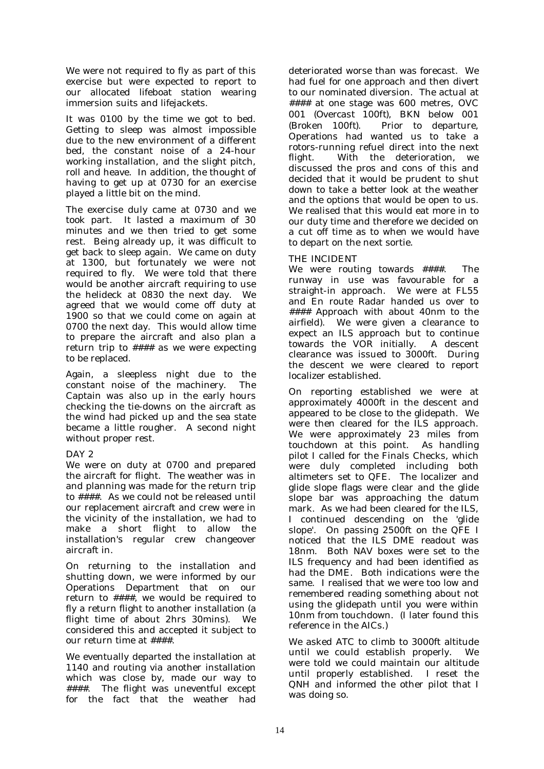We were not required to fly as part of this exercise but were expected to report to our allocated lifeboat station wearing immersion suits and lifejackets.

It was 0100 by the time we got to bed. Getting to sleep was almost impossible due to the new environment of a different bed, the constant noise of a 24-hour working installation, and the slight pitch, roll and heave. In addition, the thought of having to get up at 0730 for an exercise played a little bit on the mind.

The exercise duly came at 0730 and we took part. It lasted a maximum of 30 minutes and we then tried to get some rest. Being already up, it was difficult to get back to sleep again. We came on duty at 1300, but fortunately we were not required to fly. We were told that there would be another aircraft requiring to use the helideck at 0830 the next day. We agreed that we would come off duty at 1900 so that we could come on again at 0700 the next day. This would allow time to prepare the aircraft and also plan a return trip to #### as we were expecting to be replaced.

Again, a sleepless night due to the constant noise of the machinery. The Captain was also up in the early hours checking the tie-downs on the aircraft as the wind had picked up and the sea state became a little rougher. A second night without proper rest.

# DAY<sub>2</sub>

We were on duty at 0700 and prepared the aircraft for flight. The weather was in and planning was made for the return trip to ####. As we could not be released until our replacement aircraft and crew were in the vicinity of the installation, we had to make a short flight to allow the installation's regular crew changeover aircraft in.

On returning to the installation and shutting down, we were informed by our Operations Department that on our return to ####, we would be required to fly a return flight to another installation (a flight time of about 2hrs 30mins). We considered this and accepted it subject to our return time at ####.

We eventually departed the installation at 1140 and routing via another installation which was close by, made our way to ####. The flight was uneventful except for the fact that the weather had

deteriorated worse than was forecast. We had fuel for one approach and then divert to our nominated diversion. The actual at #### at one stage was 600 metres, OVC 001 *(Overcast 100ft*), BKN below 001 *(Broken 100ft)*. Prior to departure, Operations had wanted us to take a rotors-running refuel direct into the next flight. With the deterioration, we discussed the pros and cons of this and decided that it would be prudent to shut down to take a better look at the weather and the options that would be open to us. We realised that this would eat more in to our duty time and therefore we decided on a cut off time as to when we would have to depart on the next sortie.

# THE INCIDENT

We were routing towards ####. The runway in use was favourable for a straight-in approach. We were at FL55 and En route Radar handed us over to #### Approach with about 40nm to the airfield). We were given a clearance to expect an ILS approach but to continue towards the VOR initially. A descent clearance was issued to 3000ft. During the descent we were cleared to report localizer established.

On reporting established we were at approximately 4000ft in the descent and appeared to be close to the glidepath. We were then cleared for the ILS approach. We were approximately 23 miles from touchdown at this point. As handling pilot I called for the Finals Checks, which were duly completed including both altimeters set to QFE. The localizer and glide slope flags were clear and the glide slope bar was approaching the datum mark. As we had been cleared for the ILS, I continued descending on the 'glide slope'. On passing 2500ft on the QFE I noticed that the ILS DME readout was 18nm. Both NAV boxes were set to the ILS frequency and had been identified as had the DME. Both indications were the same. I realised that we were too low and remembered reading something about not using the glidepath until you were within 10nm from touchdown. (I later found this reference in the AICs.)

We asked ATC to climb to 3000ft altitude until we could establish properly. We were told we could maintain our altitude until properly established. I reset the QNH and informed the other pilot that I was doing so.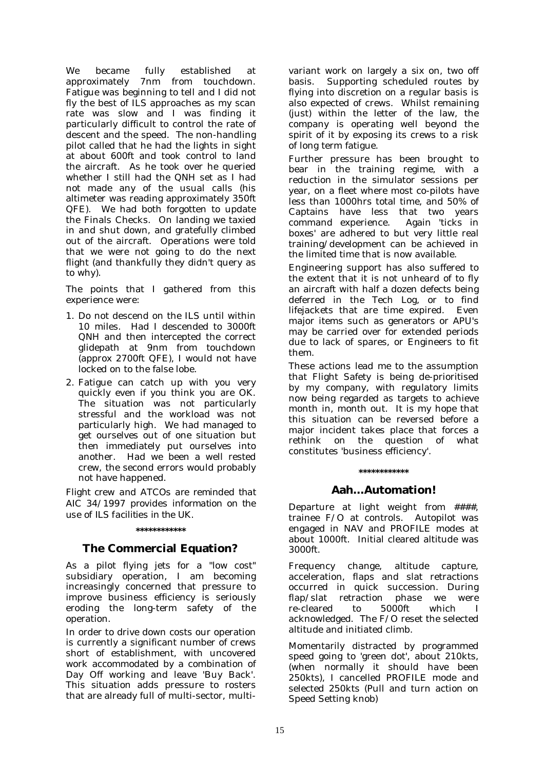We became fully established at approximately 7nm from touchdown. Fatigue was beginning to tell and I did not fly the best of ILS approaches as my scan rate was slow and I was finding it particularly difficult to control the rate of descent and the speed. The non-handling pilot called that he had the lights in sight at about 600ft and took control to land the aircraft. As he took over he queried whether I still had the QNH set as I had not made any of the usual calls (his altimeter was reading approximately 350ft QFE). We had both forgotten to update the Finals Checks. On landing we taxied in and shut down, and gratefully climbed out of the aircraft. Operations were told that we were not going to do the next flight (and thankfully they didn't query as to why).

The points that I gathered from this experience were:

- 1. Do not descend on the ILS until within 10 miles. Had I descended to 3000ft QNH and then intercepted the correct glidepath at 9nm from touchdown (approx 2700ft QFE), I would not have locked on to the false lobe.
- 2. Fatigue can catch up with you very quickly even if you think you are OK. The situation was not particularly stressful and the workload was not particularly high. We had managed to get ourselves out of one situation but then immediately put ourselves into another. Had we been a well rested crew, the second errors would probably not have happened.

*Flight crew and ATCOs are reminded that AIC 34/1997 provides information on the use of ILS facilities in the UK.* 

#### **\*\*\*\*\*\*\*\*\*\*\*\***

# **The Commercial Equation?**

As a pilot flying jets for a "low cost" subsidiary operation, I am becoming increasingly concerned that pressure to improve business efficiency is seriously eroding the long-term safety of the operation.

In order to drive down costs our operation is currently a significant number of crews short of establishment, with uncovered work accommodated by a combination of Day Off working and leave 'Buy Back'. This situation adds pressure to rosters that are already full of multi-sector, multivariant work on largely a six on, two off basis. Supporting scheduled routes by flying into discretion on a regular basis is also expected of crews. Whilst remaining (just) within the letter of the law, the company is operating well beyond the spirit of it by exposing its crews to a risk of long term fatigue.

Further pressure has been brought to bear in the training regime, with a reduction in the simulator sessions per year, on a fleet where most co-pilots have less than 1000hrs total time, and 50% of Captains have less that two years command experience. Again 'ticks in boxes' are adhered to but very little real training/development can be achieved in the limited time that is now available.

Engineering support has also suffered to the extent that it is not unheard of to fly an aircraft with half a dozen defects being deferred in the Tech Log, or to find lifejackets that are time expired. Even major items such as generators or APU's may be carried over for extended periods due to lack of spares, or Engineers to fit them.

These actions lead me to the assumption that Flight Safety is being de-prioritised by my company, with regulatory limits now being regarded as targets to achieve month in, month out. It is my hope that this situation can be reversed before a major incident takes place that forces a rethink on the question of what constitutes 'business efficiency'.

#### **\*\*\*\*\*\*\*\*\*\*\*\***

# **Aah…Automation!**

Departure at light weight from ####, trainee F/O at controls. Autopilot was engaged in NAV and PROFILE modes at about 1000ft. Initial cleared altitude was 3000ft.

Frequency change, altitude capture, acceleration, flaps and slat retractions occurred in quick succession. During flap/slat retraction phase we were<br>re-cleared to 5000ft which I re-cleared to 5000ft which I acknowledged. The F/O reset the selected altitude and initiated climb.

Momentarily distracted by programmed speed going to 'green dot', about 210kts, (when normally it should have been 250kts), I cancelled PROFILE mode and selected 250kts (Pull and turn action on Speed Setting knob)